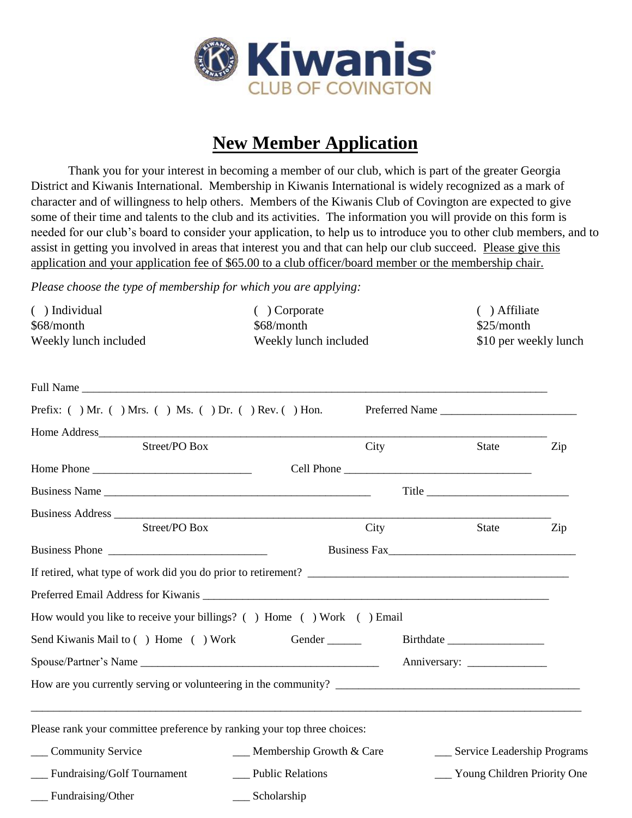

## **New Member Application**

Thank you for your interest in becoming a member of our club, which is part of the greater Georgia District and Kiwanis International. Membership in Kiwanis International is widely recognized as a mark of character and of willingness to help others. Members of the Kiwanis Club of Covington are expected to give some of their time and talents to the club and its activities. The information you will provide on this form is needed for our club's board to consider your application, to help us to introduce you to other club members, and to assist in getting you involved in areas that interest you and that can help our club succeed. Please give this application and your application fee of \$65.00 to a club officer/board member or the membership chair.

*Please choose the type of membership for which you are applying:*

| () Individual<br>\$68/month<br>Weekly lunch included                     | ( ) Corporate<br>\$68/month<br>Weekly lunch included |      | () Affiliate<br>\$25/month     | \$10 per weekly lunch |
|--------------------------------------------------------------------------|------------------------------------------------------|------|--------------------------------|-----------------------|
|                                                                          |                                                      |      |                                |                       |
| Prefix: $( )$ Mr. $( )$ Mrs. $( )$ Ms. $( )$ Dr. $( )$ Rev. $( )$ Hon.   |                                                      |      | Preferred Name                 |                       |
|                                                                          |                                                      |      |                                |                       |
| Street/PO Box                                                            |                                                      | City | State                          | Zip                   |
|                                                                          |                                                      |      |                                |                       |
| Business Name                                                            |                                                      |      | Title Title                    |                       |
| Street/PO Box                                                            |                                                      | City | State                          | Zip                   |
| Business Phone                                                           |                                                      |      | Business Fax                   |                       |
| If retired, what type of work did you do prior to retirement?            |                                                      |      |                                |                       |
|                                                                          |                                                      |      |                                |                       |
| How would you like to receive your billings? () Home () Work () Email    |                                                      |      |                                |                       |
| Send Kiwanis Mail to () Home () Work                                     |                                                      |      |                                |                       |
|                                                                          |                                                      |      |                                |                       |
|                                                                          |                                                      |      |                                |                       |
| Please rank your committee preference by ranking your top three choices: |                                                      |      |                                |                       |
| <b>Community Service</b>                                                 | $\_\_\_\$ Membership Growth & Care                   |      | __ Service Leadership Programs |                       |
| __ Fundraising/Golf Tournament                                           | __ Public Relations                                  |      | __ Young Children Priority One |                       |
| Fundraising/Other                                                        | Scholarship                                          |      |                                |                       |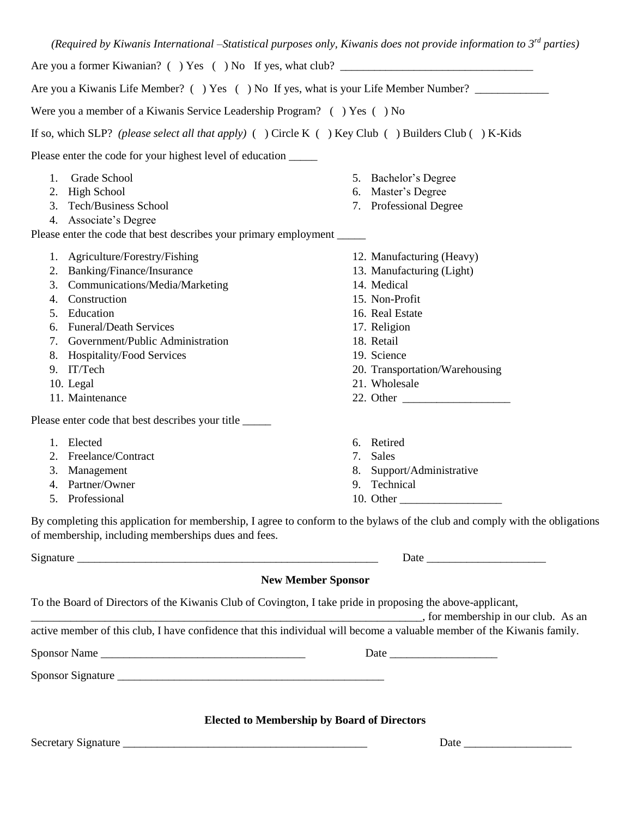| Were you a member of a Kiwanis Service Leadership Program? () Yes () No                                    | Are you a Kiwanis Life Member? () Yes () No If yes, what is your Life Member Number?                                        |
|------------------------------------------------------------------------------------------------------------|-----------------------------------------------------------------------------------------------------------------------------|
|                                                                                                            |                                                                                                                             |
| If so, which SLP? (please select all that apply) ( ) Circle K ( ) Key Club ( ) Builders Club ( ) K-Kids    |                                                                                                                             |
| Please enter the code for your highest level of education ______                                           |                                                                                                                             |
| Grade School<br>1.                                                                                         | 5. Bachelor's Degree                                                                                                        |
| 2. High School                                                                                             | 6. Master's Degree                                                                                                          |
| 3. Tech/Business School                                                                                    | 7. Professional Degree                                                                                                      |
| 4. Associate's Degree                                                                                      |                                                                                                                             |
| Please enter the code that best describes your primary employment ____                                     |                                                                                                                             |
| 1. Agriculture/Forestry/Fishing                                                                            | 12. Manufacturing (Heavy)                                                                                                   |
| 2. Banking/Finance/Insurance                                                                               | 13. Manufacturing (Light)                                                                                                   |
| 3. Communications/Media/Marketing                                                                          | 14. Medical                                                                                                                 |
| Construction<br>4.                                                                                         | 15. Non-Profit                                                                                                              |
| Education<br>5.                                                                                            | 16. Real Estate                                                                                                             |
| 6. Funeral/Death Services                                                                                  | 17. Religion                                                                                                                |
| 7. Government/Public Administration                                                                        | 18. Retail                                                                                                                  |
| 8. Hospitality/Food Services                                                                               | 19. Science                                                                                                                 |
| 9. IT/Tech<br>10. Legal                                                                                    | 20. Transportation/Warehousing<br>21. Wholesale                                                                             |
| 11. Maintenance                                                                                            | 22. Other                                                                                                                   |
|                                                                                                            |                                                                                                                             |
| Please enter code that best describes your title ______                                                    |                                                                                                                             |
| 1. Elected                                                                                                 | 6. Retired                                                                                                                  |
| 2. Freelance/Contract                                                                                      | Sales<br>7.                                                                                                                 |
| 3. Management                                                                                              | 8. Support/Administrative                                                                                                   |
| Partner/Owner<br>4.                                                                                        | 9. Technical                                                                                                                |
| Professional<br>5.                                                                                         | 10. Other                                                                                                                   |
|                                                                                                            | By completing this application for membership, I agree to conform to the bylaws of the club and comply with the obligations |
| of membership, including memberships dues and fees.                                                        |                                                                                                                             |
|                                                                                                            |                                                                                                                             |
|                                                                                                            | <b>New Member Sponsor</b>                                                                                                   |
| To the Board of Directors of the Kiwanis Club of Covington, I take pride in proposing the above-applicant, |                                                                                                                             |
|                                                                                                            |                                                                                                                             |
|                                                                                                            | active member of this club, I have confidence that this individual will become a valuable member of the Kiwanis family.     |
| Sponsor Name                                                                                               |                                                                                                                             |
|                                                                                                            |                                                                                                                             |
|                                                                                                            |                                                                                                                             |
|                                                                                                            |                                                                                                                             |
|                                                                                                            | <b>Elected to Membership by Board of Directors</b>                                                                          |
|                                                                                                            |                                                                                                                             |